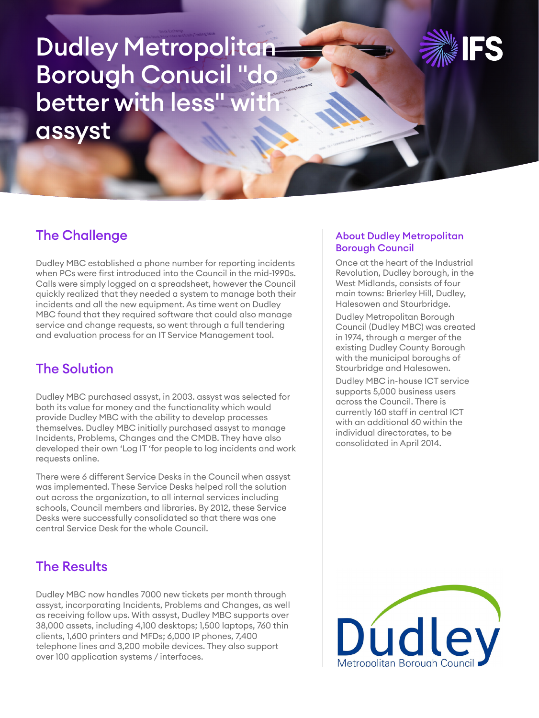# Dudley Metropolitan Borough Conucil "do better with less" with assyst



## The Challenge

Dudley MBC established a phone number for reporting incidents when PCs were first introduced into the Council in the mid-1990s. Calls were simply logged on a spreadsheet, however the Council quickly realized that they needed a system to manage both their incidents and all the new equipment. As time went on Dudley MBC found that they required software that could also manage service and change requests, so went through a full tendering and evaluation process for an IT Service Management tool.

## The Solution

Dudley MBC purchased assyst, in 2003. assyst was selected for both its value for money and the functionality which would provide Dudley MBC with the ability to develop processes themselves. Dudley MBC initially purchased assyst to manage Incidents, Problems, Changes and the CMDB. They have also developed their own 'Log IT 'for people to log incidents and work requests online.

There were 6 different Service Desks in the Council when assyst was implemented. These Service Desks helped roll the solution out across the organization, to all internal services including schools, Council members and libraries. By 2012, these Service Desks were successfully consolidated so that there was one central Service Desk for the whole Council.

## The Results

Dudley MBC now handles 7000 new tickets per month through assyst, incorporating Incidents, Problems and Changes, as well as receiving follow ups. With assyst, Dudley MBC supports over 38,000 assets, including 4,100 desktops; 1,500 laptops, 760 thin clients, 1,600 printers and MFDs; 6,000 IP phones, 7,400 telephone lines and 3,200 mobile devices. They also support over 100 application systems / interfaces.

#### About Dudley Metropolitan Borough Council

Once at the heart of the Industrial Revolution, Dudley borough, in the West Midlands, consists of four main towns: Brierley Hill, Dudley, Halesowen and Stourbridge.

Dudley Metropolitan Borough Council (Dudley MBC) was created in 1974, through a merger of the existing Dudley County Borough with the municipal boroughs of Stourbridge and Halesowen.

Dudley MBC in-house ICT service supports 5,000 business users across the Council. There is currently 160 staff in central ICT with an additional 60 within the individual directorates, to be consolidated in April 2014.